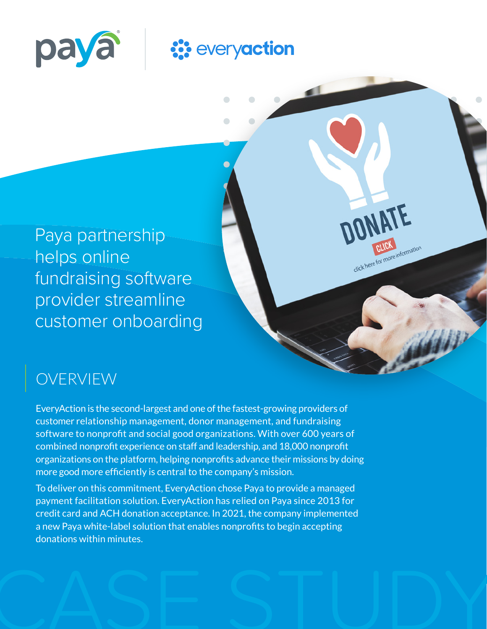

# **::** everyaction

 $\sqrt{2}$ 

**ONATE** 

Click here for more information

Paya partnership helps online fundraising software provider streamline customer onboarding

### OVERVIEW

EveryAction is the second-largest and one of the fastest-growing providers of customer relationship management, donor management, and fundraising software to nonprofit and social good organizations. With over 600 years of combined nonprofit experience on staff and leadership, and 18,000 nonprofit organizations on the platform, helping nonprofits advance their missions by doing more good more efficiently is central to the company's mission.

To deliver on this commitment, EveryAction chose Paya to provide a managed payment facilitation solution. EveryAction has relied on Paya since 2013 for credit card and ACH donation acceptance. In 2021, the company implemented a new Paya white-label solution that enables nonprofits to begin accepting donations within minutes.